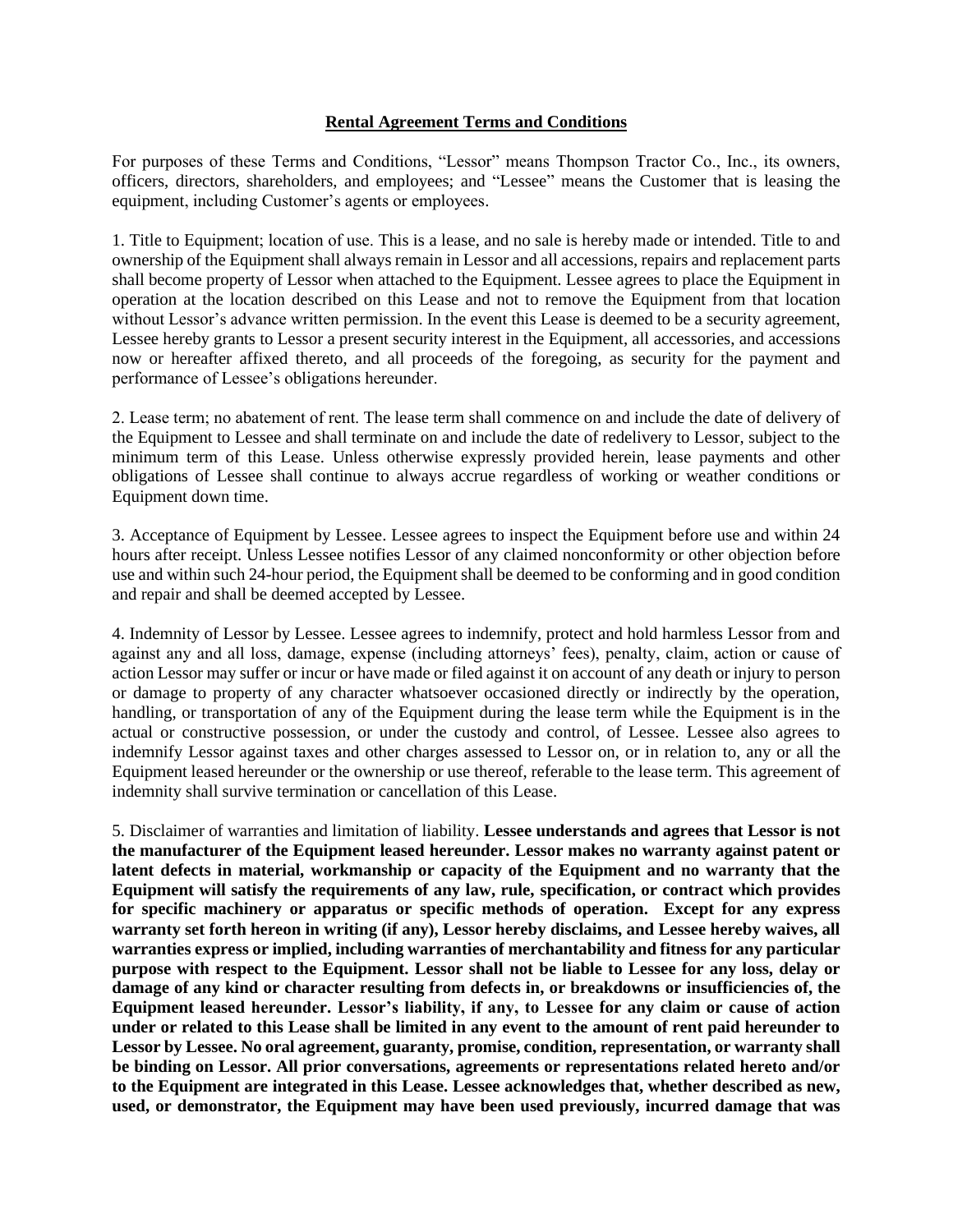## **Rental Agreement Terms and Conditions**

For purposes of these Terms and Conditions, "Lessor" means Thompson Tractor Co., Inc., its owners, officers, directors, shareholders, and employees; and "Lessee" means the Customer that is leasing the equipment, including Customer's agents or employees.

1. Title to Equipment; location of use. This is a lease, and no sale is hereby made or intended. Title to and ownership of the Equipment shall always remain in Lessor and all accessions, repairs and replacement parts shall become property of Lessor when attached to the Equipment. Lessee agrees to place the Equipment in operation at the location described on this Lease and not to remove the Equipment from that location without Lessor's advance written permission. In the event this Lease is deemed to be a security agreement, Lessee hereby grants to Lessor a present security interest in the Equipment, all accessories, and accessions now or hereafter affixed thereto, and all proceeds of the foregoing, as security for the payment and performance of Lessee's obligations hereunder.

2. Lease term; no abatement of rent. The lease term shall commence on and include the date of delivery of the Equipment to Lessee and shall terminate on and include the date of redelivery to Lessor, subject to the minimum term of this Lease. Unless otherwise expressly provided herein, lease payments and other obligations of Lessee shall continue to always accrue regardless of working or weather conditions or Equipment down time.

3. Acceptance of Equipment by Lessee. Lessee agrees to inspect the Equipment before use and within 24 hours after receipt. Unless Lessee notifies Lessor of any claimed nonconformity or other objection before use and within such 24-hour period, the Equipment shall be deemed to be conforming and in good condition and repair and shall be deemed accepted by Lessee.

4. Indemnity of Lessor by Lessee. Lessee agrees to indemnify, protect and hold harmless Lessor from and against any and all loss, damage, expense (including attorneys' fees), penalty, claim, action or cause of action Lessor may suffer or incur or have made or filed against it on account of any death or injury to person or damage to property of any character whatsoever occasioned directly or indirectly by the operation, handling, or transportation of any of the Equipment during the lease term while the Equipment is in the actual or constructive possession, or under the custody and control, of Lessee. Lessee also agrees to indemnify Lessor against taxes and other charges assessed to Lessor on, or in relation to, any or all the Equipment leased hereunder or the ownership or use thereof, referable to the lease term. This agreement of indemnity shall survive termination or cancellation of this Lease.

5. Disclaimer of warranties and limitation of liability. **Lessee understands and agrees that Lessor is not the manufacturer of the Equipment leased hereunder. Lessor makes no warranty against patent or latent defects in material, workmanship or capacity of the Equipment and no warranty that the Equipment will satisfy the requirements of any law, rule, specification, or contract which provides for specific machinery or apparatus or specific methods of operation. Except for any express warranty set forth hereon in writing (if any), Lessor hereby disclaims, and Lessee hereby waives, all warranties express or implied, including warranties of merchantability and fitness for any particular purpose with respect to the Equipment. Lessor shall not be liable to Lessee for any loss, delay or damage of any kind or character resulting from defects in, or breakdowns or insufficiencies of, the Equipment leased hereunder. Lessor's liability, if any, to Lessee for any claim or cause of action under or related to this Lease shall be limited in any event to the amount of rent paid hereunder to Lessor by Lessee. No oral agreement, guaranty, promise, condition, representation, or warranty shall be binding on Lessor. All prior conversations, agreements or representations related hereto and/or to the Equipment are integrated in this Lease. Lessee acknowledges that, whether described as new, used, or demonstrator, the Equipment may have been used previously, incurred damage that was**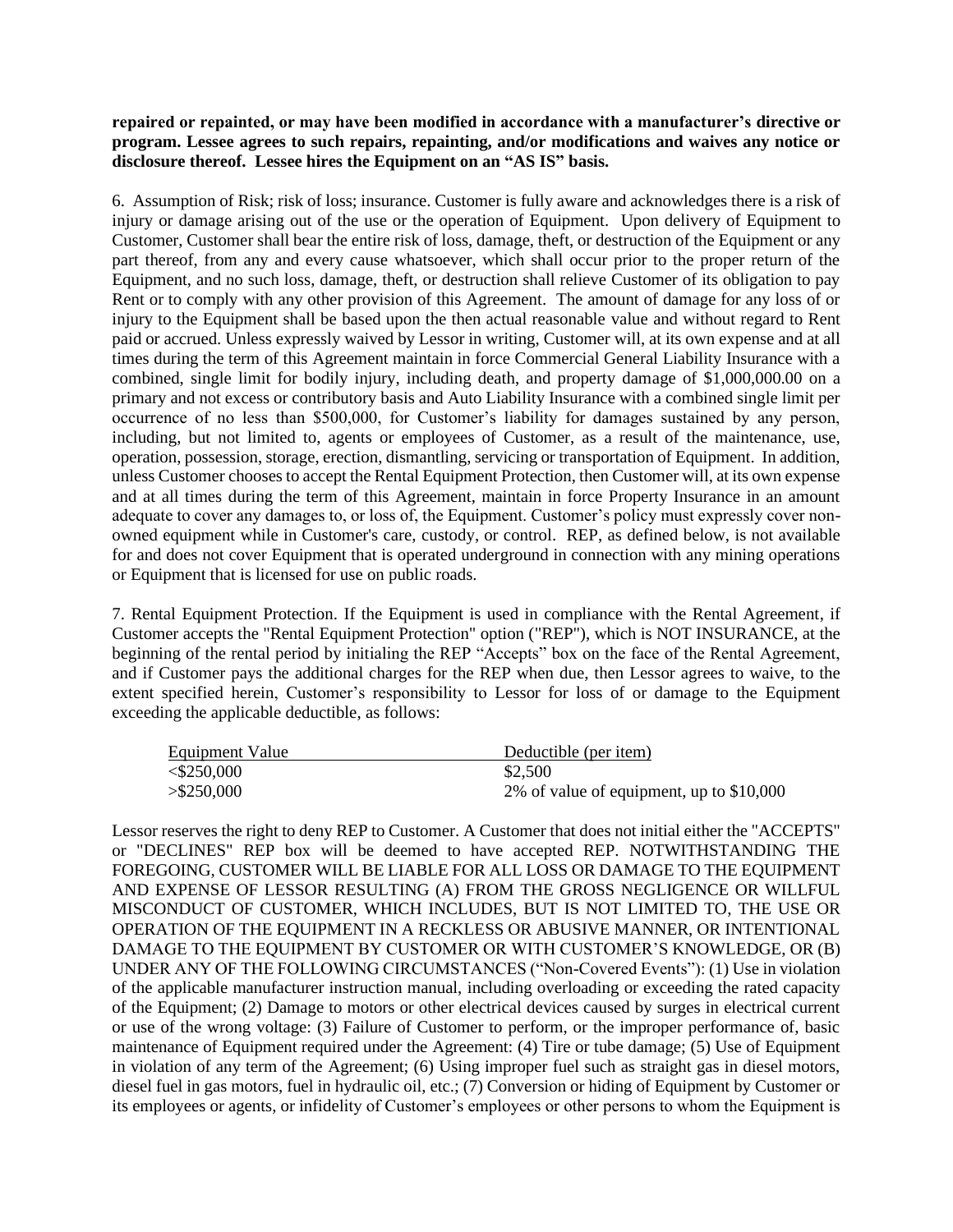**repaired or repainted, or may have been modified in accordance with a manufacturer's directive or program. Lessee agrees to such repairs, repainting, and/or modifications and waives any notice or disclosure thereof. Lessee hires the Equipment on an "AS IS" basis.**

6. Assumption of Risk; risk of loss; insurance. Customer is fully aware and acknowledges there is a risk of injury or damage arising out of the use or the operation of Equipment. Upon delivery of Equipment to Customer, Customer shall bear the entire risk of loss, damage, theft, or destruction of the Equipment or any part thereof, from any and every cause whatsoever, which shall occur prior to the proper return of the Equipment, and no such loss, damage, theft, or destruction shall relieve Customer of its obligation to pay Rent or to comply with any other provision of this Agreement. The amount of damage for any loss of or injury to the Equipment shall be based upon the then actual reasonable value and without regard to Rent paid or accrued. Unless expressly waived by Lessor in writing, Customer will, at its own expense and at all times during the term of this Agreement maintain in force Commercial General Liability Insurance with a combined, single limit for bodily injury, including death, and property damage of \$1,000,000.00 on a primary and not excess or contributory basis and Auto Liability Insurance with a combined single limit per occurrence of no less than \$500,000, for Customer's liability for damages sustained by any person, including, but not limited to, agents or employees of Customer, as a result of the maintenance, use, operation, possession, storage, erection, dismantling, servicing or transportation of Equipment. In addition, unless Customer chooses to accept the Rental Equipment Protection, then Customer will, at its own expense and at all times during the term of this Agreement, maintain in force Property Insurance in an amount adequate to cover any damages to, or loss of, the Equipment. Customer's policy must expressly cover nonowned equipment while in Customer's care, custody, or control. REP, as defined below, is not available for and does not cover Equipment that is operated underground in connection with any mining operations or Equipment that is licensed for use on public roads.

7. Rental Equipment Protection. If the Equipment is used in compliance with the Rental Agreement, if Customer accepts the "Rental Equipment Protection" option ("REP"), which is NOT INSURANCE, at the beginning of the rental period by initialing the REP "Accepts" box on the face of the Rental Agreement, and if Customer pays the additional charges for the REP when due, then Lessor agrees to waive, to the extent specified herein, Customer's responsibility to Lessor for loss of or damage to the Equipment exceeding the applicable deductible, as follows:

| Equipment Value | Deductible (per item)                    |
|-----------------|------------------------------------------|
| $<$ \$250,000   | \$2,500                                  |
| $>$ \$250,000   | 2% of value of equipment, up to \$10,000 |

Lessor reserves the right to deny REP to Customer. A Customer that does not initial either the "ACCEPTS" or "DECLINES" REP box will be deemed to have accepted REP. NOTWITHSTANDING THE FOREGOING, CUSTOMER WILL BE LIABLE FOR ALL LOSS OR DAMAGE TO THE EQUIPMENT AND EXPENSE OF LESSOR RESULTING (A) FROM THE GROSS NEGLIGENCE OR WILLFUL MISCONDUCT OF CUSTOMER, WHICH INCLUDES, BUT IS NOT LIMITED TO, THE USE OR OPERATION OF THE EQUIPMENT IN A RECKLESS OR ABUSIVE MANNER, OR INTENTIONAL DAMAGE TO THE EQUIPMENT BY CUSTOMER OR WITH CUSTOMER'S KNOWLEDGE, OR (B) UNDER ANY OF THE FOLLOWING CIRCUMSTANCES ("Non-Covered Events"): (1) Use in violation of the applicable manufacturer instruction manual, including overloading or exceeding the rated capacity of the Equipment; (2) Damage to motors or other electrical devices caused by surges in electrical current or use of the wrong voltage: (3) Failure of Customer to perform, or the improper performance of, basic maintenance of Equipment required under the Agreement: (4) Tire or tube damage; (5) Use of Equipment in violation of any term of the Agreement; (6) Using improper fuel such as straight gas in diesel motors, diesel fuel in gas motors, fuel in hydraulic oil, etc.; (7) Conversion or hiding of Equipment by Customer or its employees or agents, or infidelity of Customer's employees or other persons to whom the Equipment is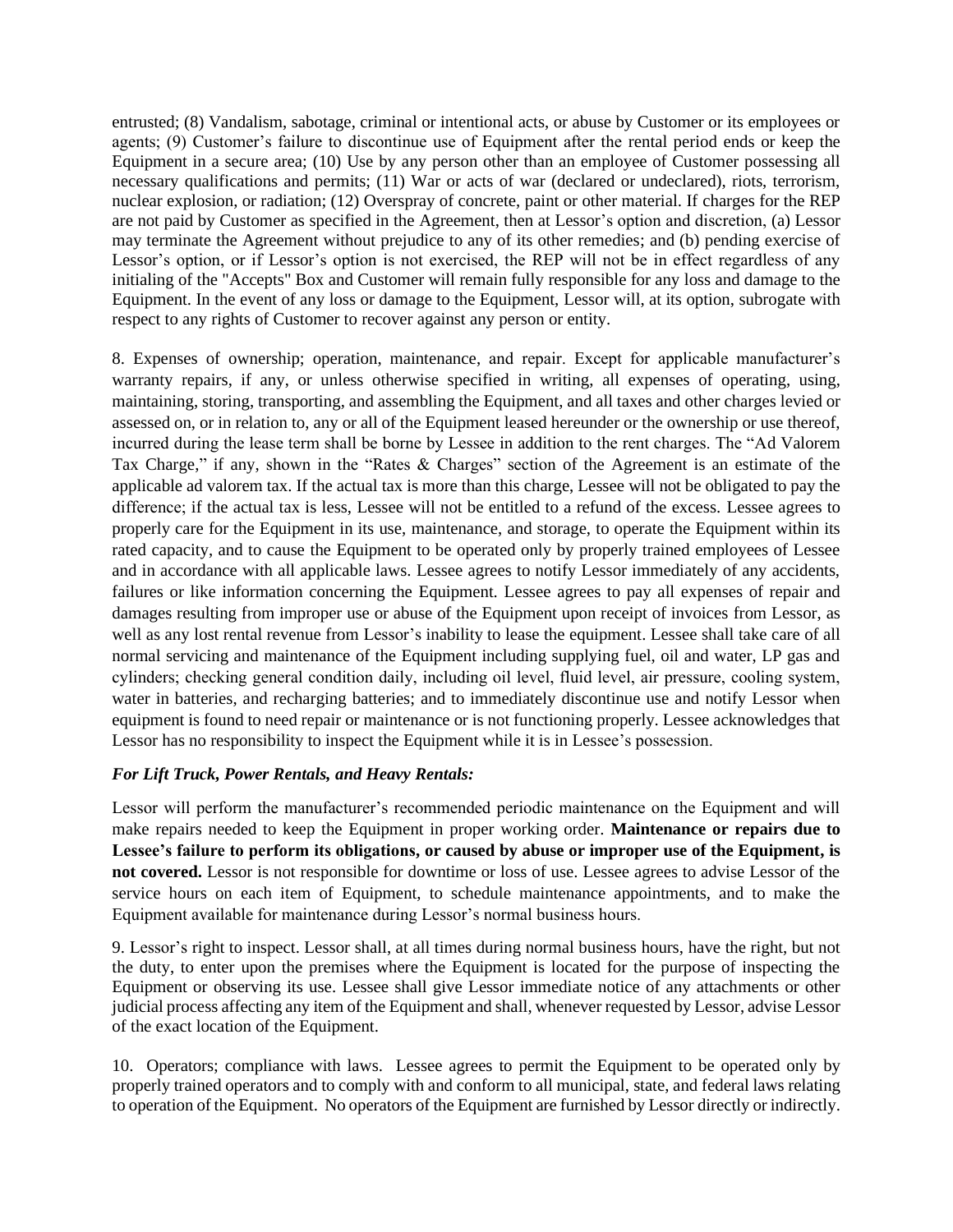entrusted; (8) Vandalism, sabotage, criminal or intentional acts, or abuse by Customer or its employees or agents; (9) Customer's failure to discontinue use of Equipment after the rental period ends or keep the Equipment in a secure area; (10) Use by any person other than an employee of Customer possessing all necessary qualifications and permits; (11) War or acts of war (declared or undeclared), riots, terrorism, nuclear explosion, or radiation; (12) Overspray of concrete, paint or other material. If charges for the REP are not paid by Customer as specified in the Agreement, then at Lessor's option and discretion, (a) Lessor may terminate the Agreement without prejudice to any of its other remedies; and (b) pending exercise of Lessor's option, or if Lessor's option is not exercised, the REP will not be in effect regardless of any initialing of the "Accepts" Box and Customer will remain fully responsible for any loss and damage to the Equipment. In the event of any loss or damage to the Equipment, Lessor will, at its option, subrogate with respect to any rights of Customer to recover against any person or entity.

8. Expenses of ownership; operation, maintenance, and repair. Except for applicable manufacturer's warranty repairs, if any, or unless otherwise specified in writing, all expenses of operating, using, maintaining, storing, transporting, and assembling the Equipment, and all taxes and other charges levied or assessed on, or in relation to, any or all of the Equipment leased hereunder or the ownership or use thereof, incurred during the lease term shall be borne by Lessee in addition to the rent charges. The "Ad Valorem Tax Charge," if any, shown in the "Rates & Charges" section of the Agreement is an estimate of the applicable ad valorem tax. If the actual tax is more than this charge, Lessee will not be obligated to pay the difference; if the actual tax is less, Lessee will not be entitled to a refund of the excess. Lessee agrees to properly care for the Equipment in its use, maintenance, and storage, to operate the Equipment within its rated capacity, and to cause the Equipment to be operated only by properly trained employees of Lessee and in accordance with all applicable laws. Lessee agrees to notify Lessor immediately of any accidents, failures or like information concerning the Equipment. Lessee agrees to pay all expenses of repair and damages resulting from improper use or abuse of the Equipment upon receipt of invoices from Lessor, as well as any lost rental revenue from Lessor's inability to lease the equipment. Lessee shall take care of all normal servicing and maintenance of the Equipment including supplying fuel, oil and water, LP gas and cylinders; checking general condition daily, including oil level, fluid level, air pressure, cooling system, water in batteries, and recharging batteries; and to immediately discontinue use and notify Lessor when equipment is found to need repair or maintenance or is not functioning properly. Lessee acknowledges that Lessor has no responsibility to inspect the Equipment while it is in Lessee's possession.

## *For Lift Truck, Power Rentals, and Heavy Rentals:*

Lessor will perform the manufacturer's recommended periodic maintenance on the Equipment and will make repairs needed to keep the Equipment in proper working order. **Maintenance or repairs due to Lessee's failure to perform its obligations, or caused by abuse or improper use of the Equipment, is not covered.** Lessor is not responsible for downtime or loss of use. Lessee agrees to advise Lessor of the service hours on each item of Equipment, to schedule maintenance appointments, and to make the Equipment available for maintenance during Lessor's normal business hours.

9. Lessor's right to inspect. Lessor shall, at all times during normal business hours, have the right, but not the duty, to enter upon the premises where the Equipment is located for the purpose of inspecting the Equipment or observing its use. Lessee shall give Lessor immediate notice of any attachments or other judicial process affecting any item of the Equipment and shall, whenever requested by Lessor, advise Lessor of the exact location of the Equipment.

10. Operators; compliance with laws. Lessee agrees to permit the Equipment to be operated only by properly trained operators and to comply with and conform to all municipal, state, and federal laws relating to operation of the Equipment. No operators of the Equipment are furnished by Lessor directly or indirectly.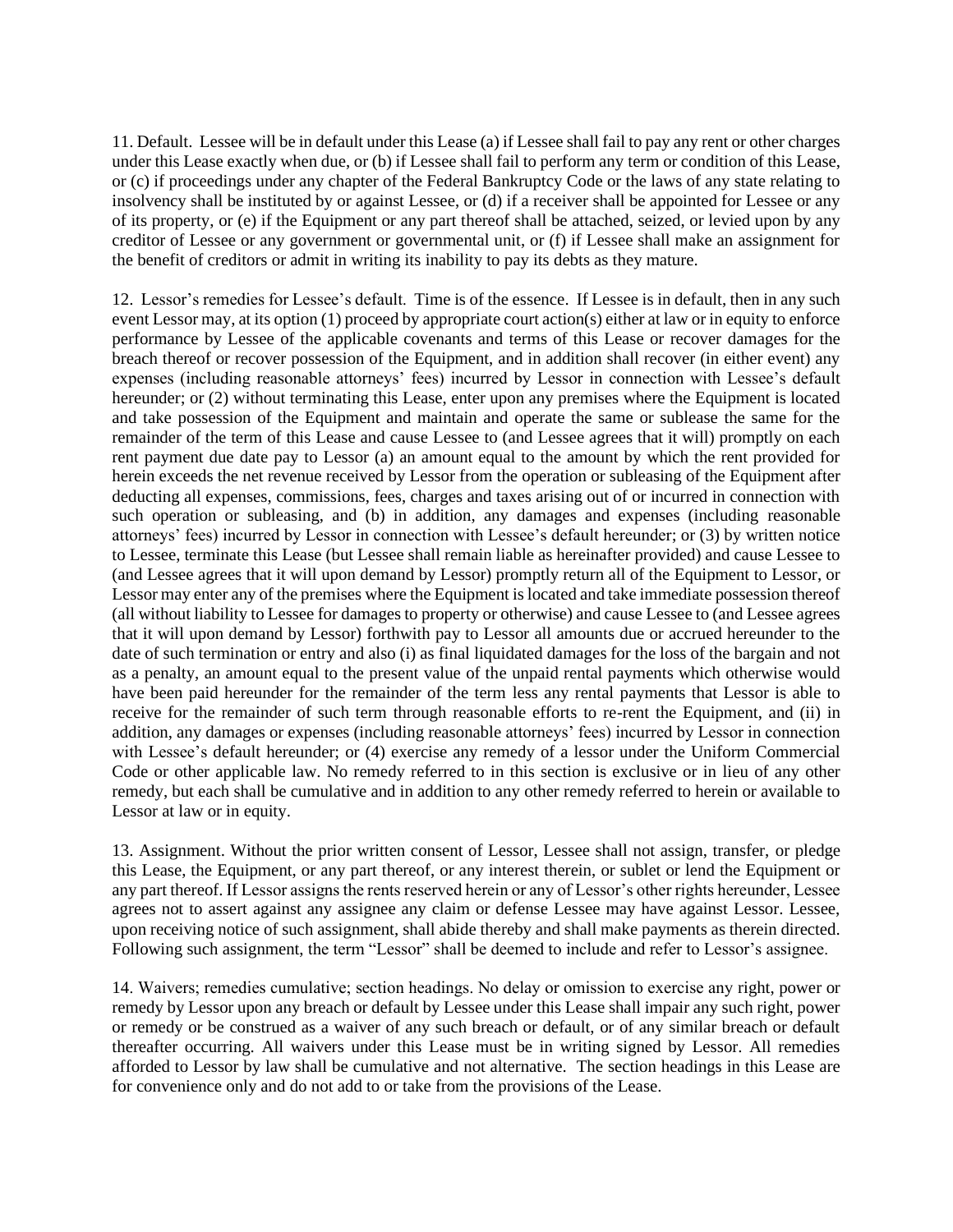11. Default. Lessee will be in default under this Lease (a) if Lessee shall fail to pay any rent or other charges under this Lease exactly when due, or (b) if Lessee shall fail to perform any term or condition of this Lease, or (c) if proceedings under any chapter of the Federal Bankruptcy Code or the laws of any state relating to insolvency shall be instituted by or against Lessee, or (d) if a receiver shall be appointed for Lessee or any of its property, or (e) if the Equipment or any part thereof shall be attached, seized, or levied upon by any creditor of Lessee or any government or governmental unit, or (f) if Lessee shall make an assignment for the benefit of creditors or admit in writing its inability to pay its debts as they mature.

12. Lessor's remedies for Lessee's default. Time is of the essence. If Lessee is in default, then in any such event Lessor may, at its option (1) proceed by appropriate court action(s) either at law or in equity to enforce performance by Lessee of the applicable covenants and terms of this Lease or recover damages for the breach thereof or recover possession of the Equipment, and in addition shall recover (in either event) any expenses (including reasonable attorneys' fees) incurred by Lessor in connection with Lessee's default hereunder; or (2) without terminating this Lease, enter upon any premises where the Equipment is located and take possession of the Equipment and maintain and operate the same or sublease the same for the remainder of the term of this Lease and cause Lessee to (and Lessee agrees that it will) promptly on each rent payment due date pay to Lessor (a) an amount equal to the amount by which the rent provided for herein exceeds the net revenue received by Lessor from the operation or subleasing of the Equipment after deducting all expenses, commissions, fees, charges and taxes arising out of or incurred in connection with such operation or subleasing, and (b) in addition, any damages and expenses (including reasonable attorneys' fees) incurred by Lessor in connection with Lessee's default hereunder; or (3) by written notice to Lessee, terminate this Lease (but Lessee shall remain liable as hereinafter provided) and cause Lessee to (and Lessee agrees that it will upon demand by Lessor) promptly return all of the Equipment to Lessor, or Lessor may enter any of the premises where the Equipment is located and take immediate possession thereof (all without liability to Lessee for damages to property or otherwise) and cause Lessee to (and Lessee agrees that it will upon demand by Lessor) forthwith pay to Lessor all amounts due or accrued hereunder to the date of such termination or entry and also (i) as final liquidated damages for the loss of the bargain and not as a penalty, an amount equal to the present value of the unpaid rental payments which otherwise would have been paid hereunder for the remainder of the term less any rental payments that Lessor is able to receive for the remainder of such term through reasonable efforts to re-rent the Equipment, and (ii) in addition, any damages or expenses (including reasonable attorneys' fees) incurred by Lessor in connection with Lessee's default hereunder; or (4) exercise any remedy of a lessor under the Uniform Commercial Code or other applicable law. No remedy referred to in this section is exclusive or in lieu of any other remedy, but each shall be cumulative and in addition to any other remedy referred to herein or available to Lessor at law or in equity.

13. Assignment. Without the prior written consent of Lessor, Lessee shall not assign, transfer, or pledge this Lease, the Equipment, or any part thereof, or any interest therein, or sublet or lend the Equipment or any part thereof. If Lessor assigns the rents reserved herein or any of Lessor's other rights hereunder, Lessee agrees not to assert against any assignee any claim or defense Lessee may have against Lessor. Lessee, upon receiving notice of such assignment, shall abide thereby and shall make payments as therein directed. Following such assignment, the term "Lessor" shall be deemed to include and refer to Lessor's assignee.

14. Waivers; remedies cumulative; section headings. No delay or omission to exercise any right, power or remedy by Lessor upon any breach or default by Lessee under this Lease shall impair any such right, power or remedy or be construed as a waiver of any such breach or default, or of any similar breach or default thereafter occurring. All waivers under this Lease must be in writing signed by Lessor. All remedies afforded to Lessor by law shall be cumulative and not alternative. The section headings in this Lease are for convenience only and do not add to or take from the provisions of the Lease.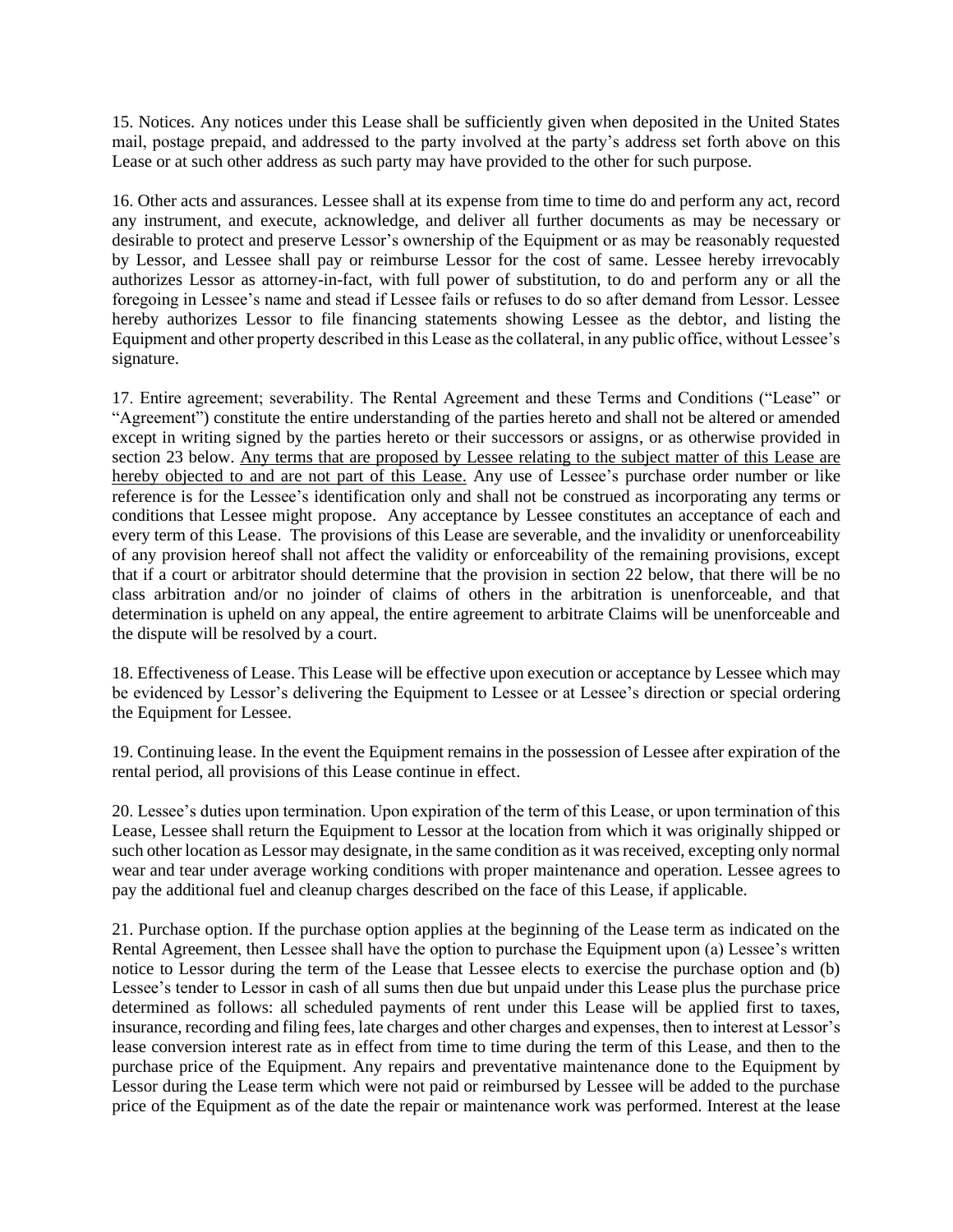15. Notices. Any notices under this Lease shall be sufficiently given when deposited in the United States mail, postage prepaid, and addressed to the party involved at the party's address set forth above on this Lease or at such other address as such party may have provided to the other for such purpose.

16. Other acts and assurances. Lessee shall at its expense from time to time do and perform any act, record any instrument, and execute, acknowledge, and deliver all further documents as may be necessary or desirable to protect and preserve Lessor's ownership of the Equipment or as may be reasonably requested by Lessor, and Lessee shall pay or reimburse Lessor for the cost of same. Lessee hereby irrevocably authorizes Lessor as attorney-in-fact, with full power of substitution, to do and perform any or all the foregoing in Lessee's name and stead if Lessee fails or refuses to do so after demand from Lessor. Lessee hereby authorizes Lessor to file financing statements showing Lessee as the debtor, and listing the Equipment and other property described in this Lease as the collateral, in any public office, without Lessee's signature.

17. Entire agreement; severability. The Rental Agreement and these Terms and Conditions ("Lease" or "Agreement") constitute the entire understanding of the parties hereto and shall not be altered or amended except in writing signed by the parties hereto or their successors or assigns, or as otherwise provided in section 23 below. Any terms that are proposed by Lessee relating to the subject matter of this Lease are hereby objected to and are not part of this Lease. Any use of Lessee's purchase order number or like reference is for the Lessee's identification only and shall not be construed as incorporating any terms or conditions that Lessee might propose. Any acceptance by Lessee constitutes an acceptance of each and every term of this Lease. The provisions of this Lease are severable, and the invalidity or unenforceability of any provision hereof shall not affect the validity or enforceability of the remaining provisions, except that if a court or arbitrator should determine that the provision in section 22 below, that there will be no class arbitration and/or no joinder of claims of others in the arbitration is unenforceable, and that determination is upheld on any appeal, the entire agreement to arbitrate Claims will be unenforceable and the dispute will be resolved by a court.

18. Effectiveness of Lease. This Lease will be effective upon execution or acceptance by Lessee which may be evidenced by Lessor's delivering the Equipment to Lessee or at Lessee's direction or special ordering the Equipment for Lessee.

19. Continuing lease. In the event the Equipment remains in the possession of Lessee after expiration of the rental period, all provisions of this Lease continue in effect.

20. Lessee's duties upon termination. Upon expiration of the term of this Lease, or upon termination of this Lease, Lessee shall return the Equipment to Lessor at the location from which it was originally shipped or such other location as Lessor may designate, in the same condition as it was received, excepting only normal wear and tear under average working conditions with proper maintenance and operation. Lessee agrees to pay the additional fuel and cleanup charges described on the face of this Lease, if applicable.

21. Purchase option. If the purchase option applies at the beginning of the Lease term as indicated on the Rental Agreement, then Lessee shall have the option to purchase the Equipment upon (a) Lessee's written notice to Lessor during the term of the Lease that Lessee elects to exercise the purchase option and (b) Lessee's tender to Lessor in cash of all sums then due but unpaid under this Lease plus the purchase price determined as follows: all scheduled payments of rent under this Lease will be applied first to taxes, insurance, recording and filing fees, late charges and other charges and expenses, then to interest at Lessor's lease conversion interest rate as in effect from time to time during the term of this Lease, and then to the purchase price of the Equipment. Any repairs and preventative maintenance done to the Equipment by Lessor during the Lease term which were not paid or reimbursed by Lessee will be added to the purchase price of the Equipment as of the date the repair or maintenance work was performed. Interest at the lease